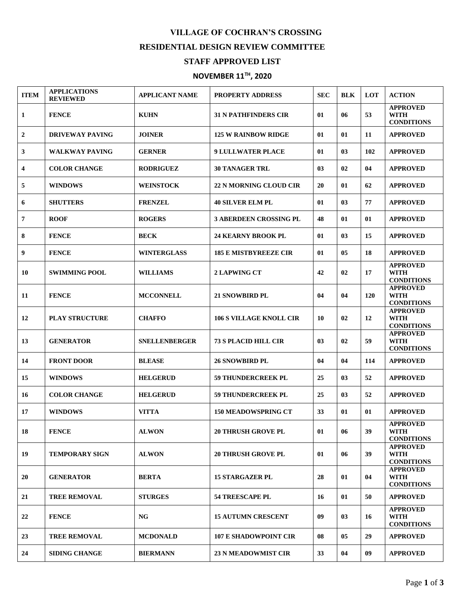## **VILLAGE OF COCHRAN'S CROSSING**

## **RESIDENTIAL DESIGN REVIEW COMMITTEE**

## **STAFF APPROVED LIST**

## **NOVEMBER 11TH , 2020**

| <b>ITEM</b>             | <b>APPLICATIONS</b><br><b>REVIEWED</b> | <b>APPLICANT NAME</b> | <b>PROPERTY ADDRESS</b>        | <b>SEC</b> | <b>BLK</b>     | <b>LOT</b> | <b>ACTION</b>                                       |
|-------------------------|----------------------------------------|-----------------------|--------------------------------|------------|----------------|------------|-----------------------------------------------------|
| 1                       | <b>FENCE</b>                           | <b>KUHN</b>           | <b>31 N PATHFINDERS CIR</b>    | 01         | 06             | 53         | <b>APPROVED</b><br><b>WITH</b><br><b>CONDITIONS</b> |
| $\boldsymbol{2}$        | <b>DRIVEWAY PAVING</b>                 | <b>JOINER</b>         | <b>125 W RAINBOW RIDGE</b>     | 01         | 01             | 11         | <b>APPROVED</b>                                     |
| 3                       | <b>WALKWAY PAVING</b>                  | <b>GERNER</b>         | <b>9 LULLWATER PLACE</b>       | 01         | 03             | 102        | <b>APPROVED</b>                                     |
| $\overline{\mathbf{4}}$ | <b>COLOR CHANGE</b>                    | <b>RODRIGUEZ</b>      | <b>30 TANAGER TRL</b>          | 03         | 02             | 04         | <b>APPROVED</b>                                     |
| 5                       | <b>WINDOWS</b>                         | <b>WEINSTOCK</b>      | <b>22 N MORNING CLOUD CIR</b>  | 20         | 01             | 62         | <b>APPROVED</b>                                     |
| 6                       | <b>SHUTTERS</b>                        | <b>FRENZEL</b>        | <b>40 SILVER ELM PL</b>        | 01         | 03             | 77         | <b>APPROVED</b>                                     |
| 7                       | <b>ROOF</b>                            | <b>ROGERS</b>         | <b>3 ABERDEEN CROSSING PL</b>  | 48         | 01             | 01         | <b>APPROVED</b>                                     |
| 8                       | <b>FENCE</b>                           | <b>BECK</b>           | <b>24 KEARNY BROOK PL</b>      | 01         | 0 <sub>3</sub> | 15         | <b>APPROVED</b>                                     |
| 9                       | <b>FENCE</b>                           | <b>WINTERGLASS</b>    | <b>185 E MISTBYREEZE CIR</b>   | 01         | 05             | 18         | <b>APPROVED</b>                                     |
| 10                      | <b>SWIMMING POOL</b>                   | <b>WILLIAMS</b>       | <b>2 LAPWING CT</b>            | 42         | 02             | 17         | <b>APPROVED</b><br><b>WITH</b><br><b>CONDITIONS</b> |
| 11                      | <b>FENCE</b>                           | <b>MCCONNELL</b>      | <b>21 SNOWBIRD PL</b>          | 04         | 04             | <b>120</b> | <b>APPROVED</b><br><b>WITH</b><br><b>CONDITIONS</b> |
| 12                      | <b>PLAY STRUCTURE</b>                  | <b>CHAFFO</b>         | <b>106 S VILLAGE KNOLL CIR</b> | 10         | 02             | 12         | <b>APPROVED</b><br><b>WITH</b><br><b>CONDITIONS</b> |
| 13                      | <b>GENERATOR</b>                       | <b>SNELLENBERGER</b>  | <b>73 S PLACID HILL CIR</b>    | 03         | 02             | 59         | <b>APPROVED</b><br><b>WITH</b><br><b>CONDITIONS</b> |
| 14                      | <b>FRONT DOOR</b>                      | <b>BLEASE</b>         | <b>26 SNOWBIRD PL</b>          | 04         | 04             | 114        | <b>APPROVED</b>                                     |
| 15                      | <b>WINDOWS</b>                         | <b>HELGERUD</b>       | <b>59 THUNDERCREEK PL</b>      | 25         | 0 <sub>3</sub> | 52         | <b>APPROVED</b>                                     |
| 16                      | <b>COLOR CHANGE</b>                    | <b>HELGERUD</b>       | <b>59 THUNDERCREEK PL</b>      | 25         | 03             | 52         | <b>APPROVED</b>                                     |
| 17                      | <b>WINDOWS</b>                         | <b>VITTA</b>          | <b>150 MEADOWSPRING CT</b>     | 33         | 01             | 01         | <b>APPROVED</b>                                     |
| 18                      | <b>FENCE</b>                           | <b>ALWON</b>          | <b>20 THRUSH GROVE PL</b>      | 01         | 06             | 39         | <b>APPROVED</b><br><b>WITH</b><br><b>CONDITIONS</b> |
| 19                      | <b>TEMPORARY SIGN</b>                  | <b>ALWON</b>          | <b>20 THRUSH GROVE PL</b>      | 01         | 06             | 39         | <b>APPROVED</b><br><b>WITH</b><br><b>CONDITIONS</b> |
| 20                      | <b>GENERATOR</b>                       | <b>BERTA</b>          | <b>15 STARGAZER PL</b>         | 28         | 01             | 04         | <b>APPROVED</b><br><b>WITH</b><br><b>CONDITIONS</b> |
| 21                      | <b>TREE REMOVAL</b>                    | <b>STURGES</b>        | <b>54 TREESCAPE PL</b>         | 16         | 01             | 50         | <b>APPROVED</b>                                     |
| 22                      | <b>FENCE</b>                           | <b>NG</b>             | <b>15 AUTUMN CRESCENT</b>      | 09         | 03             | 16         | <b>APPROVED</b><br><b>WITH</b><br><b>CONDITIONS</b> |
| 23                      | <b>TREE REMOVAL</b>                    | <b>MCDONALD</b>       | <b>107 E SHADOWPOINT CIR</b>   | 08         | 05             | 29         | <b>APPROVED</b>                                     |
| 24                      | <b>SIDING CHANGE</b>                   | <b>BIERMANN</b>       | <b>23 N MEADOWMIST CIR</b>     | 33         | 04             | 09         | <b>APPROVED</b>                                     |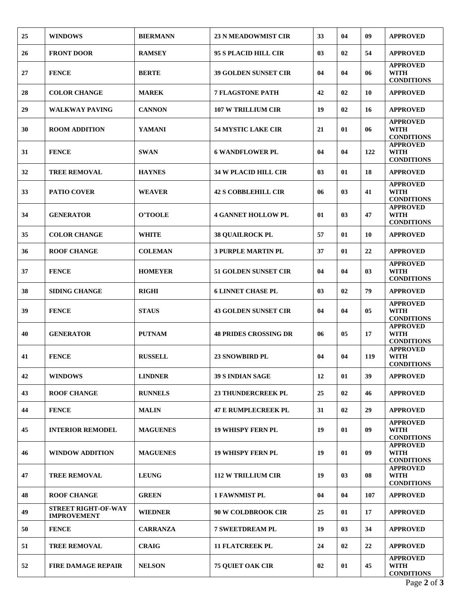| 25 | <b>WINDOWS</b>                                   | <b>BIERMANN</b> | <b>23 N MEADOWMIST CIR</b>   | 33 | 04             | 09             | <b>APPROVED</b>                                     |
|----|--------------------------------------------------|-----------------|------------------------------|----|----------------|----------------|-----------------------------------------------------|
| 26 | <b>FRONT DOOR</b>                                | <b>RAMSEY</b>   | 95 S PLACID HILL CIR         | 03 | 02             | 54             | <b>APPROVED</b>                                     |
| 27 | <b>FENCE</b>                                     | <b>BERTE</b>    | <b>39 GOLDEN SUNSET CIR</b>  | 04 | 04             | 06             | <b>APPROVED</b><br>WITH<br><b>CONDITIONS</b>        |
| 28 | <b>COLOR CHANGE</b>                              | <b>MAREK</b>    | <b>7 FLAGSTONE PATH</b>      | 42 | 02             | 10             | <b>APPROVED</b>                                     |
| 29 | <b>WALKWAY PAVING</b>                            | <b>CANNON</b>   | <b>107 W TRILLIUM CIR</b>    | 19 | 02             | 16             | <b>APPROVED</b>                                     |
| 30 | <b>ROOM ADDITION</b>                             | <b>YAMANI</b>   | <b>54 MYSTIC LAKE CIR</b>    | 21 | 01             | 06             | <b>APPROVED</b><br><b>WITH</b><br><b>CONDITIONS</b> |
| 31 | <b>FENCE</b>                                     | <b>SWAN</b>     | <b>6 WANDFLOWER PL</b>       | 04 | 04             | 122            | <b>APPROVED</b><br>WITH<br><b>CONDITIONS</b>        |
| 32 | <b>TREE REMOVAL</b>                              | <b>HAYNES</b>   | <b>34 W PLACID HILL CIR</b>  | 03 | 01             | 18             | <b>APPROVED</b>                                     |
| 33 | <b>PATIO COVER</b>                               | <b>WEAVER</b>   | <b>42 S COBBLEHILL CIR</b>   | 06 | 03             | 41             | <b>APPROVED</b><br><b>WITH</b><br><b>CONDITIONS</b> |
| 34 | <b>GENERATOR</b>                                 | O'TOOLE         | <b>4 GANNET HOLLOW PL</b>    | 01 | 03             | 47             | <b>APPROVED</b><br><b>WITH</b><br><b>CONDITIONS</b> |
| 35 | <b>COLOR CHANGE</b>                              | <b>WHITE</b>    | <b>38 OUAILROCK PL</b>       | 57 | 01             | 10             | <b>APPROVED</b>                                     |
| 36 | <b>ROOF CHANGE</b>                               | <b>COLEMAN</b>  | <b>3 PURPLE MARTIN PL</b>    | 37 | 01             | 22             | <b>APPROVED</b>                                     |
| 37 | <b>FENCE</b>                                     | <b>HOMEYER</b>  | <b>51 GOLDEN SUNSET CIR</b>  | 04 | 04             | 03             | <b>APPROVED</b><br><b>WITH</b><br><b>CONDITIONS</b> |
| 38 | <b>SIDING CHANGE</b>                             | <b>RIGHI</b>    | <b>6 LINNET CHASE PL</b>     | 03 | 02             | 79             | <b>APPROVED</b>                                     |
| 39 | <b>FENCE</b>                                     | <b>STAUS</b>    | <b>43 GOLDEN SUNSET CIR</b>  | 04 | 04             | 0 <sub>5</sub> | <b>APPROVED</b><br><b>WITH</b><br><b>CONDITIONS</b> |
| 40 | <b>GENERATOR</b>                                 | <b>PUTNAM</b>   | <b>48 PRIDES CROSSING DR</b> | 06 | 05             | 17             | <b>APPROVED</b><br><b>WITH</b><br><b>CONDITIONS</b> |
| 41 | <b>FENCE</b>                                     | <b>RUSSELL</b>  | <b>23 SNOWBIRD PL</b>        | 04 | 04             | 119            | <b>APPROVED</b><br><b>WITH</b><br><b>CONDITIONS</b> |
| 42 | <b>WINDOWS</b>                                   | <b>LINDNER</b>  | <b>39 S INDIAN SAGE</b>      | 12 | 01             | 39             | <b>APPROVED</b>                                     |
| 43 | <b>ROOF CHANGE</b>                               | <b>RUNNELS</b>  | <b>23 THUNDERCREEK PL</b>    | 25 | 02             | 46             | <b>APPROVED</b>                                     |
| 44 | <b>FENCE</b>                                     | <b>MALIN</b>    | <b>47 E RUMPLECREEK PL</b>   | 31 | 02             | 29             | <b>APPROVED</b>                                     |
| 45 | <b>INTERIOR REMODEL</b>                          | <b>MAGUENES</b> | <b>19 WHISPY FERN PL</b>     | 19 | 01             | 09             | <b>APPROVED</b><br><b>WITH</b><br><b>CONDITIONS</b> |
| 46 | <b>WINDOW ADDITION</b>                           | <b>MAGUENES</b> | <b>19 WHISPY FERN PL</b>     | 19 | 01             | 09             | <b>APPROVED</b><br><b>WITH</b><br><b>CONDITIONS</b> |
| 47 | <b>TREE REMOVAL</b>                              | <b>LEUNG</b>    | <b>112 W TRILLIUM CIR</b>    | 19 | 0 <sub>3</sub> | 08             | <b>APPROVED</b><br><b>WITH</b><br><b>CONDITIONS</b> |
| 48 | <b>ROOF CHANGE</b>                               | <b>GREEN</b>    | <b>1 FAWNMIST PL</b>         | 04 | 04             | 107            | <b>APPROVED</b>                                     |
| 49 | <b>STREET RIGHT-OF-WAY</b><br><b>IMPROVEMENT</b> | <b>WIEDNER</b>  | <b>90 W COLDBROOK CIR</b>    | 25 | 01             | 17             | <b>APPROVED</b>                                     |
| 50 | <b>FENCE</b>                                     | <b>CARRANZA</b> | <b>7 SWEETDREAM PL</b>       | 19 | 03             | 34             | <b>APPROVED</b>                                     |
| 51 | <b>TREE REMOVAL</b>                              | <b>CRAIG</b>    | <b>11 FLATCREEK PL</b>       | 24 | 02             | 22             | <b>APPROVED</b>                                     |
| 52 | <b>FIRE DAMAGE REPAIR</b>                        | <b>NELSON</b>   | <b>75 QUIET OAK CIR</b>      | 02 | 01             | 45             | <b>APPROVED</b><br><b>WITH</b><br><b>CONDITIONS</b> |